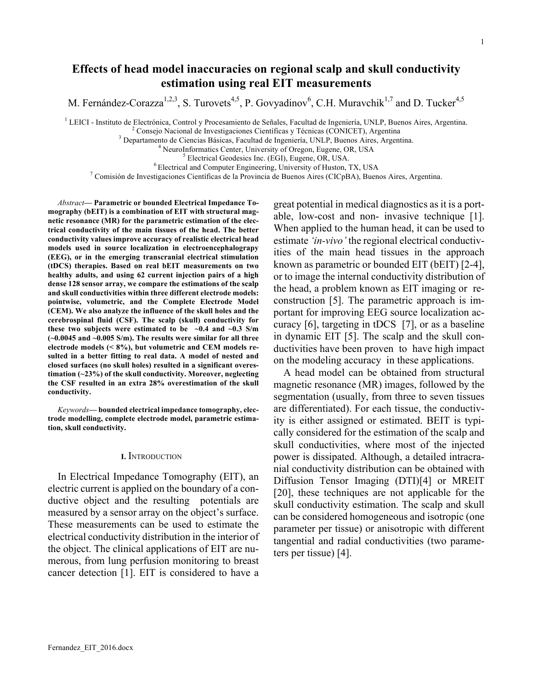# **Effects of head model inaccuracies on regional scalp and skull conductivity estimation using real EIT measurements**

M. Fernández-Corazza<sup>1,2,3</sup>, S. Turovets<sup>4,5</sup>, P. Govyadinov<sup>6</sup>, C.H. Muravchik<sup>1,7</sup> and D. Tucker<sup>4,5</sup>

<sup>1</sup> LEICI - Instituto de Electrónica, Control y Procesamiento de Señales, Facultad de Ingeniería, UNLP, Buenos Aires, Argentina.<br>
<sup>2</sup> Consejo Nacional de Investigaciones Científicas y Técnicas (CONICET), Argentina<br>
<sup>3</sup> De

*Abstract***— Parametric or bounded Electrical Impedance Tomography (bEIT) is a combination of EIT with structural magnetic resonance (MR) for the parametric estimation of the electrical conductivity of the main tissues of the head. The better conductivity values improve accuracy of realistic electrical head models used in source localization in electroencephalograpy (EEG), or in the emerging transcranial electrical stimulation (tDCS) therapies. Based on real bEIT measurements on two healthy adults, and using 62 current injection pairs of a high dense 128 sensor array, we compare the estimations of the scalp and skull conductivities within three different electrode models: pointwise, volumetric, and the Complete Electrode Model (CEM). We also analyze the influence of the skull holes and the cerebrospinal fluid (CSF). The scalp (skull) conductivity for these two subjects were estimated to be**  $\sim 0.4$  **and**  $\sim 0.3$  **S/m (~0.0045 and ~0.005 S/m). The results were similar for all three electrode models (< 8%), but volumetric and CEM models resulted in a better fitting to real data. A model of nested and closed surfaces (no skull holes) resulted in a significant overestimation (~23%) of the skull conductivity. Moreover, neglecting the CSF resulted in an extra 28% overestimation of the skull conductivity.**

*Keywords***— bounded electrical impedance tomography, electrode modelling, complete electrode model, parametric estimation, skull conductivity.**

# **I.** INTRODUCTION

In Electrical Impedance Tomography (EIT), an electric current is applied on the boundary of a conductive object and the resulting potentials are measured by a sensor array on the object's surface. These measurements can be used to estimate the electrical conductivity distribution in the interior of the object. The clinical applications of EIT are numerous, from lung perfusion monitoring to breast cancer detection [1]. EIT is considered to have a

great potential in medical diagnostics as it is a portable, low-cost and non- invasive technique [1]. When applied to the human head, it can be used to estimate *'in-vivo'* the regional electrical conductivities of the main head tissues in the approach known as parametric or bounded EIT (bEIT) [2-4], or to image the internal conductivity distribution of the head, a problem known as EIT imaging or reconstruction [5]. The parametric approach is important for improving EEG source localization accuracy [6], targeting in tDCS [7], or as a baseline in dynamic EIT [5]. The scalp and the skull conductivities have been proven to have high impact on the modeling accuracy in these applications.

A head model can be obtained from structural magnetic resonance (MR) images, followed by the segmentation (usually, from three to seven tissues are differentiated). For each tissue, the conductivity is either assigned or estimated. BEIT is typically considered for the estimation of the scalp and skull conductivities, where most of the injected power is dissipated. Although, a detailed intracranial conductivity distribution can be obtained with Diffusion Tensor Imaging (DTI)[4] or MREIT [20], these techniques are not applicable for the skull conductivity estimation. The scalp and skull can be considered homogeneous and isotropic (one parameter per tissue) or anisotropic with different tangential and radial conductivities (two parameters per tissue) [4].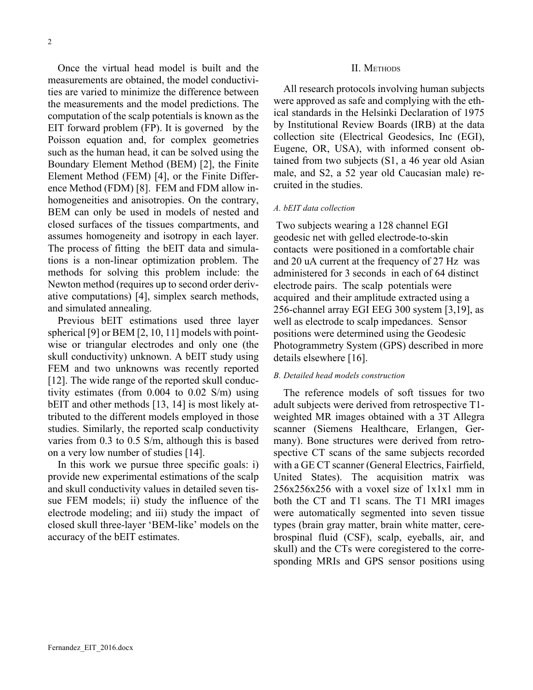Once the virtual head model is built and the measurements are obtained, the model conductivities are varied to minimize the difference between the measurements and the model predictions. The computation of the scalp potentials is known as the EIT forward problem (FP). It is governed by the Poisson equation and, for complex geometries such as the human head, it can be solved using the Boundary Element Method (BEM) [2], the Finite Element Method (FEM) [4], or the Finite Difference Method (FDM) [8]. FEM and FDM allow inhomogeneities and anisotropies. On the contrary, BEM can only be used in models of nested and closed surfaces of the tissues compartments, and assumes homogeneity and isotropy in each layer. The process of fitting the bEIT data and simulations is a non-linear optimization problem. The methods for solving this problem include: the Newton method (requires up to second order derivative computations) [4], simplex search methods, and simulated annealing.

Previous bEIT estimations used three layer spherical [9] or BEM [2, 10, 11] models with pointwise or triangular electrodes and only one (the skull conductivity) unknown. A bEIT study using FEM and two unknowns was recently reported [12]. The wide range of the reported skull conductivity estimates (from 0.004 to 0.02 S/m) using bEIT and other methods [13, 14] is most likely attributed to the different models employed in those studies. Similarly, the reported scalp conductivity varies from 0.3 to 0.5 S/m, although this is based on a very low number of studies [14].

In this work we pursue three specific goals: i) provide new experimental estimations of the scalp and skull conductivity values in detailed seven tissue FEM models; ii) study the influence of the electrode modeling; and iii) study the impact of closed skull three-layer 'BEM-like' models on the accuracy of the bEIT estimates.

## II. METHODS

All research protocols involving human subjects were approved as safe and complying with the ethical standards in the Helsinki Declaration of 1975 by Institutional Review Boards (IRB) at the data collection site (Electrical Geodesics, Inc (EGI), Eugene, OR, USA), with informed consent obtained from two subjects (S1, a 46 year old Asian male, and S2, a 52 year old Caucasian male) recruited in the studies.

# *A. bEIT data collection*

Two subjects wearing a 128 channel EGI geodesic net with gelled electrode-to-skin contacts were positioned in a comfortable chair and 20 uA current at the frequency of 27 Hz was administered for 3 seconds in each of 64 distinct electrode pairs. The scalp potentials were acquired and their amplitude extracted using a 256-channel array EGI EEG 300 system [3,19], as well as electrode to scalp impedances. Sensor positions were determined using the Geodesic Photogrammetry System (GPS) described in more details elsewhere [16].

# *B. Detailed head models construction*

The reference models of soft tissues for two adult subjects were derived from retrospective T1 weighted MR images obtained with a 3T Allegra scanner (Siemens Healthcare, Erlangen, Germany). Bone structures were derived from retrospective CT scans of the same subjects recorded with a GE CT scanner (General Electrics, Fairfield, United States). The acquisition matrix was 256x256x256 with a voxel size of 1x1x1 mm in both the CT and T1 scans. The T1 MRI images were automatically segmented into seven tissue types (brain gray matter, brain white matter, cerebrospinal fluid (CSF), scalp, eyeballs, air, and skull) and the CTs were coregistered to the corresponding MRIs and GPS sensor positions using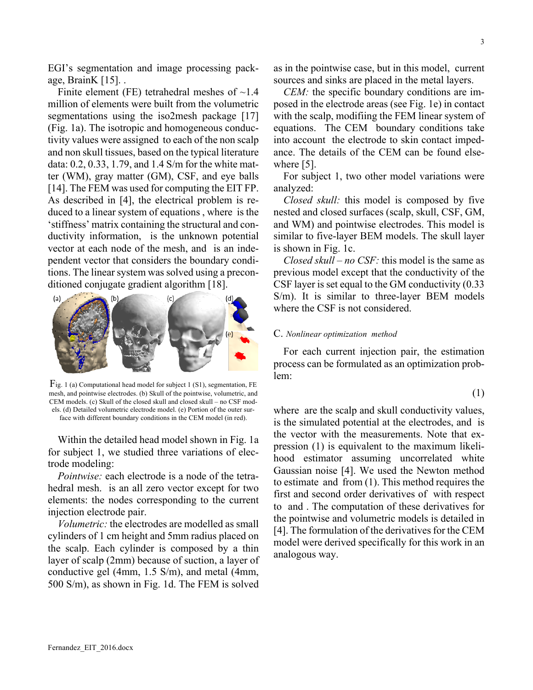EGI's segmentation and image processing package, BrainK [15]. .

Finite element (FE) tetrahedral meshes of  $\sim$ 1.4 million of elements were built from the volumetric segmentations using the iso2mesh package [17] (Fig. 1a). The isotropic and homogeneous conductivity values were assigned to each of the non scalp and non skull tissues, based on the typical literature data: 0.2, 0.33, 1.79, and 1.4 S/m for the white matter (WM), gray matter (GM), CSF, and eye balls [14]. The FEM was used for computing the EIT FP. As described in [4], the electrical problem is reduced to a linear system of equations , where is the 'stiffness' matrix containing the structural and conductivity information, is the unknown potential vector at each node of the mesh, and is an independent vector that considers the boundary conditions. The linear system was solved using a preconditioned conjugate gradient algorithm [18].



Fig. 1 (a) Computational head model for subject 1 (S1), segmentation, FE mesh, and pointwise electrodes. (b) Skull of the pointwise, volumetric, and CEM models. (c) Skull of the closed skull and closed skull – no CSF models. (d) Detailed volumetric electrode model. (e) Portion of the outer surface with different boundary conditions in the CEM model (in red).

Within the detailed head model shown in Fig. 1a for subject 1, we studied three variations of electrode modeling:

*Pointwise:* each electrode is a node of the tetrahedral mesh. is an all zero vector except for two elements: the nodes corresponding to the current injection electrode pair.

*Volumetric:* the electrodes are modelled as small cylinders of 1 cm height and 5mm radius placed on the scalp. Each cylinder is composed by a thin layer of scalp (2mm) because of suction, a layer of conductive gel (4mm, 1.5 S/m), and metal (4mm, 500 S/m), as shown in Fig. 1d. The FEM is solved

as in the pointwise case, but in this model, current sources and sinks are placed in the metal layers.

*CEM:* the specific boundary conditions are imposed in the electrode areas (see Fig. 1e) in contact with the scalp, modifiing the FEM linear system of equations. The CEM boundary conditions take into account the electrode to skin contact impedance. The details of the CEM can be found elsewhere [5].

For subject 1, two other model variations were analyzed:

*Closed skull:* this model is composed by five nested and closed surfaces (scalp, skull, CSF, GM, and WM) and pointwise electrodes. This model is similar to five-layer BEM models. The skull layer is shown in Fig. 1c.

*Closed skull – no CSF:* this model is the same as previous model except that the conductivity of the CSF layer is set equal to the GM conductivity (0.33 S/m). It is similar to three-layer BEM models where the CSF is not considered.

# C. *Nonlinear optimization method*

For each current injection pair, the estimation process can be formulated as an optimization problem:

$$
(1)
$$

where are the scalp and skull conductivity values, is the simulated potential at the electrodes, and is the vector with the measurements. Note that expression (1) is equivalent to the maximum likelihood estimator assuming uncorrelated white Gaussian noise [4]. We used the Newton method to estimate and from (1). This method requires the first and second order derivatives of with respect to and . The computation of these derivatives for the pointwise and volumetric models is detailed in [4]. The formulation of the derivatives for the CEM model were derived specifically for this work in an analogous way.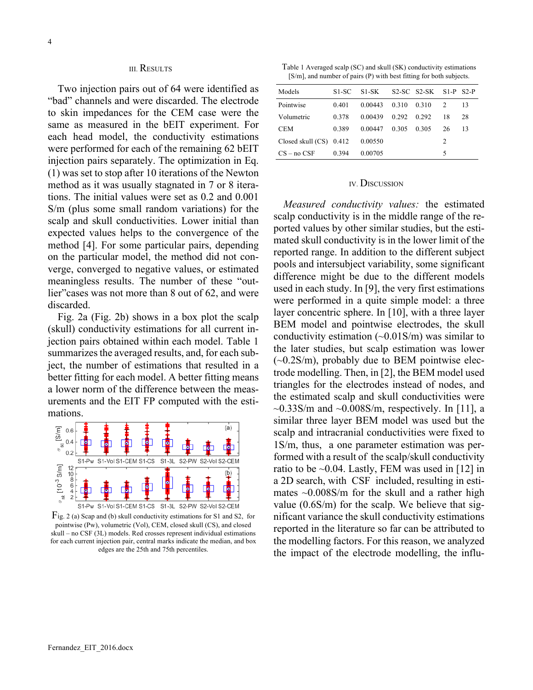# III. RESULTS

Two injection pairs out of 64 were identified as "bad" channels and were discarded. The electrode to skin impedances for the CEM case were the same as measured in the bEIT experiment. For each head model, the conductivity estimations were performed for each of the remaining 62 bEIT injection pairs separately. The optimization in Eq. (1) was set to stop after 10 iterations of the Newton method as it was usually stagnated in 7 or 8 iterations. The initial values were set as 0.2 and 0.001 S/m (plus some small random variations) for the scalp and skull conductivities. Lower initial than expected values helps to the convergence of the method [4]. For some particular pairs, depending on the particular model, the method did not converge, converged to negative values, or estimated meaningless results. The number of these "outlier" cases was not more than 8 out of 62, and were discarded.

Fig. 2a (Fig. 2b) shows in a box plot the scalp (skull) conductivity estimations for all current injection pairs obtained within each model. Table 1 summarizes the averaged results, and, for each subject, the number of estimations that resulted in a better fitting for each model. A better fitting means a lower norm of the difference between the measurements and the EIT FP computed with the estimations.



Fig. 2 (a) Scap and (b) skull conductivity estimations for S1 and S2, for pointwise (Pw), volumetric (Vol), CEM, closed skull (CS), and closed skull – no CSF (3L) models. Red crosses represent individual estimations for each current injection pair, central marks indicate the median, and box edges are the 25th and 75th percentiles.

Table 1 Averaged scalp (SC) and skull (SK) conductivity estimations [S/m], and number of pairs (P) with best fitting for both subjects.

| Models                    | S1-SC | S1-SK   |       | $S2-SC$ $S2-SK$ $S1-P$ $S2-P$ |               |    |
|---------------------------|-------|---------|-------|-------------------------------|---------------|----|
| Pointwise                 | 0.401 | 0.00443 | 0.310 | 0.310                         | $\mathcal{L}$ | 13 |
| Volumetric                | 0.378 | 0.00439 | 0.292 | 0.292                         | 18            | 28 |
| <b>CEM</b>                | 0.389 | 0.00447 | 0.305 | 0.305                         | 26            | 13 |
| Closed skull $(CS)$ 0.412 |       | 0.00550 |       |                               | 2             |    |
| $CS - no CSF$             | 0.394 | 0.00705 |       |                               | 5             |    |

# IV. DISCUSSION

*Measured conductivity values:* the estimated scalp conductivity is in the middle range of the reported values by other similar studies, but the estimated skull conductivity is in the lower limit of the reported range. In addition to the different subject pools and intersubject variability, some significant difference might be due to the different models used in each study. In [9], the very first estimations were performed in a quite simple model: a three layer concentric sphere. In [10], with a three layer BEM model and pointwise electrodes, the skull conductivity estimation  $(\sim 0.01$ S/m) was similar to the later studies, but scalp estimation was lower  $(-0.2S/m)$ , probably due to BEM pointwise electrode modelling. Then, in [2], the BEM model used triangles for the electrodes instead of nodes, and the estimated scalp and skull conductivities were  $\sim$ 0.33S/m and  $\sim$ 0.008S/m, respectively. In [11], a similar three layer BEM model was used but the scalp and intracranial conductivities were fixed to 1S/m, thus, a one parameter estimation was performed with a result of the scalp/skull conductivity ratio to be  $\sim$ 0.04. Lastly, FEM was used in [12] in a 2D search, with CSF included, resulting in estimates  $\sim 0.008$ S/m for the skull and a rather high value (0.6S/m) for the scalp. We believe that significant variance the skull conductivity estimations reported in the literature so far can be attributed to the modelling factors. For this reason, we analyzed the impact of the electrode modelling, the influ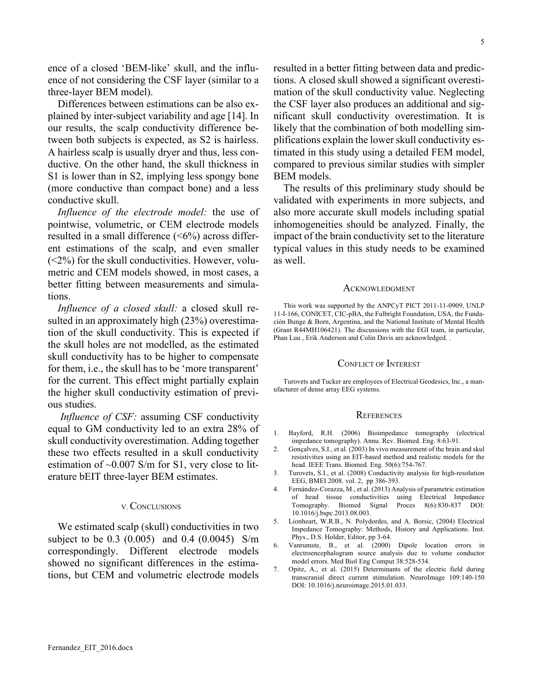ence of a closed 'BEM-like' skull, and the influence of not considering the CSF layer (similar to a three-layer BEM model).

Differences between estimations can be also explained by inter-subject variability and age [14]. In our results, the scalp conductivity difference between both subjects is expected, as S2 is hairless. A hairless scalp is usually dryer and thus, less conductive. On the other hand, the skull thickness in S1 is lower than in S2, implying less spongy bone (more conductive than compact bone) and a less conductive skull.

*Influence of the electrode model:* the use of pointwise, volumetric, or CEM electrode models resulted in a small difference (<6%) across different estimations of the scalp, and even smaller  $(<2%)$  for the skull conductivities. However, volumetric and CEM models showed, in most cases, a better fitting between measurements and simulations.

*Influence of a closed skull:* a closed skull resulted in an approximately high (23%) overestimation of the skull conductivity. This is expected if the skull holes are not modelled, as the estimated skull conductivity has to be higher to compensate for them, i.e., the skull has to be 'more transparent' for the current. This effect might partially explain the higher skull conductivity estimation of previous studies.

*Influence of CSF:* assuming CSF conductivity equal to GM conductivity led to an extra 28% of skull conductivity overestimation. Adding together these two effects resulted in a skull conductivity estimation of  $\sim 0.007$  S/m for S1, very close to literature bEIT three-layer BEM estimates.

#### V. CONCLUSIONS

We estimated scalp (skull) conductivities in two subject to be 0.3 (0.005) and 0.4 (0.0045) S/m correspondingly. Different electrode models showed no significant differences in the estimations, but CEM and volumetric electrode models

resulted in a better fitting between data and predictions. A closed skull showed a significant overestimation of the skull conductivity value. Neglecting the CSF layer also produces an additional and significant skull conductivity overestimation. It is likely that the combination of both modelling simplifications explain the lower skull conductivity estimated in this study using a detailed FEM model, compared to previous similar studies with simpler BEM models.

The results of this preliminary study should be validated with experiments in more subjects, and also more accurate skull models including spatial inhomogeneities should be analyzed. Finally, the impact of the brain conductivity set to the literature typical values in this study needs to be examined as well.

#### **ACKNOWLEDGMENT**

This work was supported by the ANPCyT PICT 2011-11-0909, UNLP 11-I-166, CONICET, CIC-pBA, the Fulbright Foundation, USA, the Fundación Bunge & Born, Argentina, and the National Institute of Mental Health (Grant R44MH106421). The discussions with the EGI team, in particular, Phan Luu , Erik Anderson and Colin Davis are acknowledged. .

### CONFLICT OF INTEREST

Turovets and Tucker are employees of Electrical Geodesics, Inc., a manufacturer of dense array EEG systems.

#### **REFERENCES**

- 1. Bayford, R.H. (2006) Bioimpedance tomography (electrical impedance tomography). Annu. Rev. Biomed. Eng. 8:63-91.
- 2. Gonçalves, S.I., et al. (2003) In vivo measurement of the brain and skul resistivities using an EIT-based method and realistic models for the head. IEEE Trans. Biomed. Eng. 50(6):754-767.
- Turovets, S.I., et al. (2008) Conductivity analysis for high-resolution EEG, BMEI 2008. vol. 2, pp 386-393.
- 4. Fernández-Corazza, M., et al. (2013) Analysis of parametric estimation of head tissue conductivities using Electrical Impedance Tomography. Biomed Signal Proces 8(6):830-837 DOI: 10.1016/j.bspc.2013.08.003.
- 5. Lionheart, W.R.B., N. Polydordes, and A. Borsic, (2004) Electrical Impedance Tomography: Methods, History and Applications. Inst. Phys., D.S. Holder, Editor, pp 3-64.
- 6. Vanrumste, B., et al. (2000) Dipole location errors in electroencephalogram source analysis due to volume conductor model errors. Med Biol Eng Comput 38:528-534.
- 7. Opitz, A., et al. (2015) Determinants of the electric field during transcranial direct current stimulation. NeuroImage 109:140-150 DOI: 10.1016/j.neuroimage.2015.01.033.